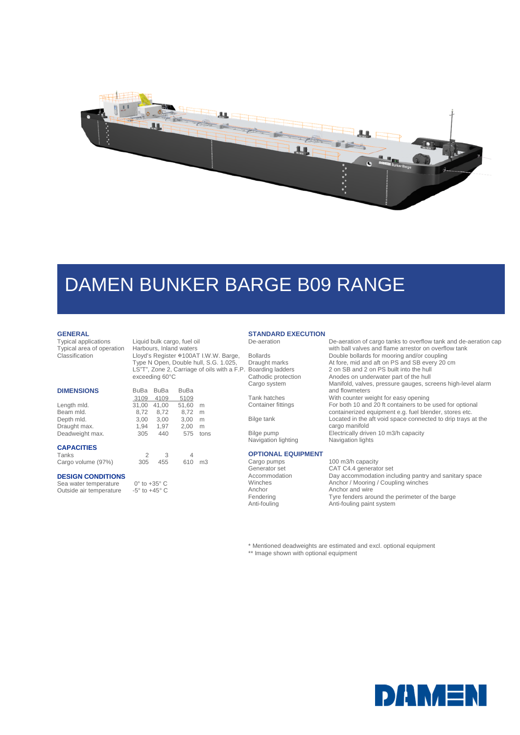

# DAMEN BUNKER BARGE B09 RANGE

#### **GENERAL**

Typical applications<br>Typical area of operation<br>Classification

Liquid bulk cargo, fuel oil<br>Harbours, Inland waters

Lloyd's Register #100AT I.W.W. Barge, Type N Open, Double hull, S.G. 1.025,

|                   | exceeding 60°C |             |             |      |
|-------------------|----------------|-------------|-------------|------|
| <b>DIMENSIONS</b> | <b>BuBa</b>    | <b>BuBa</b> | <b>BuBa</b> |      |
|                   | 3109           | 4109        | 5109        |      |
| Length mld.       | 31,00          | 41,00       | 51,60       | m    |
| Beam mld.         | 8.72           | 8.72        | 8.72        | m    |
| Depth mld.        | 3,00           | 3.00        | 3,00        | m    |
| Draught max.      | 1,94           | 1,97        | 2,00        | m    |
| Deadweight max.   | 305            | 440         | 575         | tons |
| <b>CAPACITIES</b> |                |             |             |      |

Tanks 2 3 4<br>Cargo volume (97%) 305 455 610 Cargo volume (97%) 305 455 610 m3

#### **DESIGN CONDITIONS**

Sea water temperature  $0^\circ$  to +35 $^\circ$  C<br>Outside air temperature  $-5^\circ$  to +45 $^\circ$  C Outside air temperature

#### **STANDARD EXECUTION**  De-aeration De-aeration of cargo tanks to overflow tank and de-aeration cap

LS"T", Zone 2, Carriage of oils with a F.P.

Navigation lighting Navigation lights

#### **OPTIONAL EQUIPMENT**

with ball valves and flame arrestor on overflow tank Bollards Double bollards for mooring and/or coupling<br>Draught marks At fore, mid and aft on PS and SB every 20 Draught marks At fore, mid and aft on PS and SB every 20 cm<br>Boarding ladders 2 on SB and 2 on PS built into the hull Boarding ladders 2 on SB and 2 on PS built into the hull<br>Cathodic protection 4nodes on underwater part of the hull Cathodic protection Anodes on underwater part of the hull<br>Cargo system Manifold, valves, pressure gauges, sc Manifold, valves, pressure gauges, screens high-level alarm and flowmeters Tank hatches With counter weight for easy opening Container fittings For both 10 and 20 ft containers to be used for optional containerized equipment e.g. fuel blender, stores etc. Bilge tank Located in the aft void space connected to drip trays at the cargo manifold Bilge pump **Electrically driven 10 m3/h capacity** 

Cargo pumps 100 m3/h capacity Generator set CAT C4.4 generator set<br>Accommodation Day accommodation inc Accommodation<br>
Day accommodation including pantry and sanitary space<br>
Winches Anchor / Mooring / Coupling winches Winches Anchor / Mooring / Coupling winches Anchor Anchor and wire Fendering Tyre fenders around the perimeter of the barge<br>
Anti-fouling Anti-fouling paint system Anti-fouling paint system

\* Mentioned deadweights are estimated and excl. optional equipment

\*\* Image shown with optional equipment